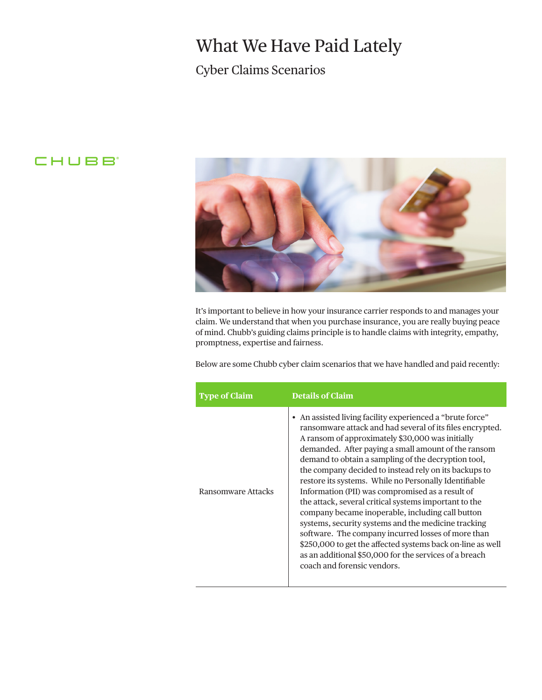## What We Have Paid Lately

## Cyber Claims Scenarios

## **CHUBB**



It's important to believe in how your insurance carrier responds to and manages your claim. We understand that when you purchase insurance, you are really buying peace of mind. Chubb's guiding claims principle is to handle claims with integrity, empathy, promptness, expertise and fairness.

Below are some Chubb cyber claim scenarios that we have handled and paid recently:

| <b>Type of Claim</b> | <b>Details of Claim</b>                                                                                                                                                                                                                                                                                                                                                                                                                                                                                                                                                                                                                                                                                                                                                                                                                         |
|----------------------|-------------------------------------------------------------------------------------------------------------------------------------------------------------------------------------------------------------------------------------------------------------------------------------------------------------------------------------------------------------------------------------------------------------------------------------------------------------------------------------------------------------------------------------------------------------------------------------------------------------------------------------------------------------------------------------------------------------------------------------------------------------------------------------------------------------------------------------------------|
| Ransomware Attacks   | • An assisted living facility experienced a "brute force"<br>ransomware attack and had several of its files encrypted.<br>A ransom of approximately \$30,000 was initially<br>demanded. After paying a small amount of the ransom<br>demand to obtain a sampling of the decryption tool,<br>the company decided to instead rely on its backups to<br>restore its systems. While no Personally Identifiable<br>Information (PII) was compromised as a result of<br>the attack, several critical systems important to the<br>company became inoperable, including call button<br>systems, security systems and the medicine tracking<br>software. The company incurred losses of more than<br>\$250,000 to get the affected systems back on-line as well<br>as an additional \$50,000 for the services of a breach<br>coach and forensic vendors. |